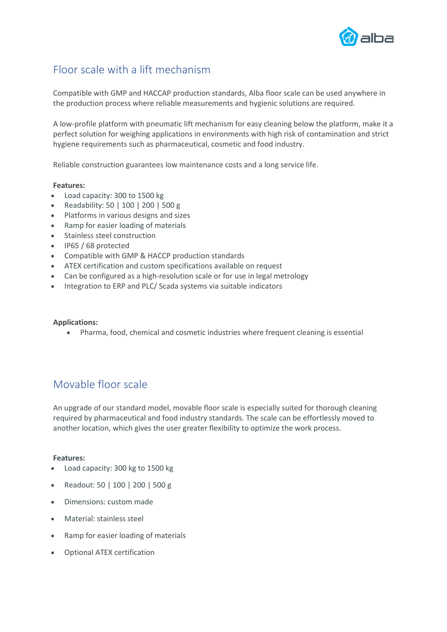

# Floor scale with a lift mechanism

Compatible with GMP and HACCAP production standards, Alba floor scale can be used anywhere in the production process where reliable measurements and hygienic solutions are required.

A low-profile platform with pneumatic lift mechanism for easy cleaning below the platform, make it a perfect solution for weighing applications in environments with high risk of contamination and strict hygiene requirements such as pharmaceutical, cosmetic and food industry.

Reliable construction guarantees low maintenance costs and a long service life.

#### **Features:**

- Load capacity: 300 to 1500 kg
- Readability: 50 | 100 | 200 | 500 g
- Platforms in various designs and sizes
- Ramp for easier loading of materials
- Stainless steel construction
- IP65 / 68 protected
- Compatible with GMP & HACCP production standards
- ATEX certification and custom specifications available on request
- Can be configured as a high-resolution scale or for use in legal metrology
- Integration to ERP and PLC/ Scada systems via suitable indicators

#### **Applications:**

• Pharma, food, chemical and cosmetic industries where frequent cleaning is essential

### Movable floor scale

An upgrade of our standard model, movable floor scale is especially suited for thorough cleaning required by pharmaceutical and food industry standards. The scale can be effortlessly moved to another location, which gives the user greater flexibility to optimize the work process.

#### **Features:**

- Load capacity: 300 kg to 1500 kg
- Readout: 50 | 100 | 200 | 500 g
- Dimensions: custom made
- Material: stainless steel
- Ramp for easier loading of materials
- Optional ATEX certification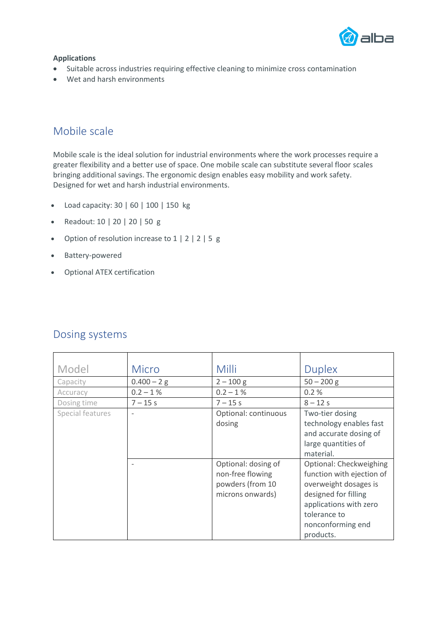

### **Applications**

- Suitable across industries requiring effective cleaning to minimize cross contamination
- Wet and harsh environments

### Mobile scale

Mobile scale is the ideal solution for industrial environments where the work processes require a greater flexibility and a better use of space. One mobile scale can substitute several floor scales bringing additional savings. The ergonomic design enables easy mobility and work safety. Designed for wet and harsh industrial environments.

- Load capacity: 30 | 60 | 100 | 150 kg
- Readout: 10 | 20 | 20 | 50 g
- Option of resolution increase to 1 | 2 | 2 | 5 g
- Battery-powered
- Optional ATEX certification

| Model            | <b>Micro</b>             | Milli                                                                           | <b>Duplex</b>                                                                                                                                                                     |
|------------------|--------------------------|---------------------------------------------------------------------------------|-----------------------------------------------------------------------------------------------------------------------------------------------------------------------------------|
| Capacity         | $0.400 - 2 g$            | $2 - 100$ g                                                                     | $50 - 200$ g                                                                                                                                                                      |
| Accuracy         | $0.2 - 1\%$              | $0.2 - 1\%$                                                                     | 0.2%                                                                                                                                                                              |
| Dosing time      | $7 - 15s$                | $7 - 15s$                                                                       | $8 - 12s$                                                                                                                                                                         |
| Special features | $\overline{\phantom{a}}$ | Optional: continuous<br>dosing                                                  | Two-tier dosing<br>technology enables fast<br>and accurate dosing of<br>large quantities of<br>material.                                                                          |
|                  |                          | Optional: dosing of<br>non-free flowing<br>powders (from 10<br>microns onwards) | Optional: Checkweighing<br>function with ejection of<br>overweight dosages is<br>designed for filling<br>applications with zero<br>tolerance to<br>nonconforming end<br>products. |

## Dosing systems